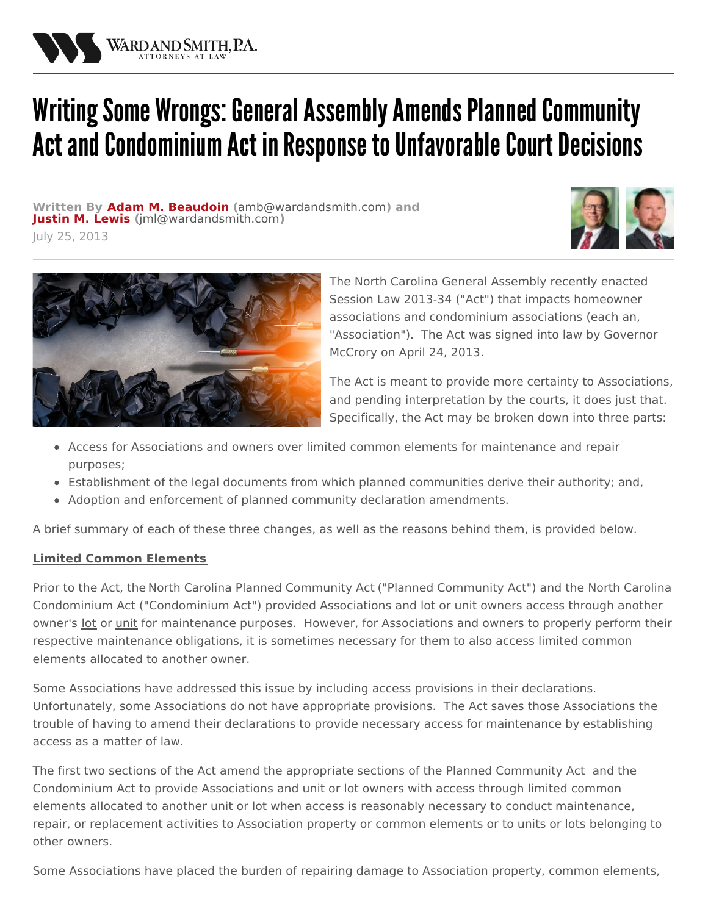

# Writing Some Wrongs: General Assembly Amends Planned Community Act and Condominium Act in Response to Unfavorable Court Decisions

**Written By Adam M. [Beaudoin](/attorneys/adam-beaudoin) (**[amb@wardandsmith.com](mailto:amb@wardandsmith.com)**) and [Justin](/attorneys/justin-lewis) M. Lewis (**[jml@wardandsmith.com](mailto:jml@wardandsmith.com)**)**







The North Carolina General Assembly recently enacted Session Law 2013-34 ("Act") that impacts homeowner associations and [condominium](/practices/community-associations) associations (each an, "Association"). The Act was signed into law by Governor McCrory on April 24, 2013.

The Act is meant to provide more certainty to Associations, and pending interpretation by the courts, it does just that. Specifically, the Act may be broken down into three parts:

- Access for Associations and owners over limited common elements for maintenance and repair purposes;
- Establishment of the legal documents from which planned communities derive their authority; and,
- Adoption and enforcement of planned community declaration amendments.

A brief summary of each of these three changes, as well as the reasons behind them, is provided below.

### **Limited Common Elements**

Prior to the Act, the North Carolina Planned [Community](http://www.wardandsmith.com/articles/nc-community-association-legislative-update) Act ("Planned Community Act") and the North Carolina Condominium Act ("Condominium Act") provided Associations and lot or unit owners access through another owner's lot or unit for maintenance purposes. However, for Associations and owners to properly perform their respective maintenance obligations, it is sometimes necessary for them to also access limited common elements allocated to another owner.

Some Associations have addressed this issue by including access provisions in their declarations. Unfortunately, some Associations do not have appropriate provisions. The Act saves those Associations the trouble of having to amend their declarations to provide necessary access for maintenance by establishing access as a matter of law.

The first two sections of the Act amend the appropriate sections of the Planned Community Act and the Condominium Act to provide Associations and unit or lot owners with access through limited common elements allocated to another unit or lot when access is reasonably necessary to conduct maintenance, repair, or replacement activities to Association property or common elements or to units or lots belonging to other owners.

Some Associations have placed the burden of repairing damage to Association property, common elements,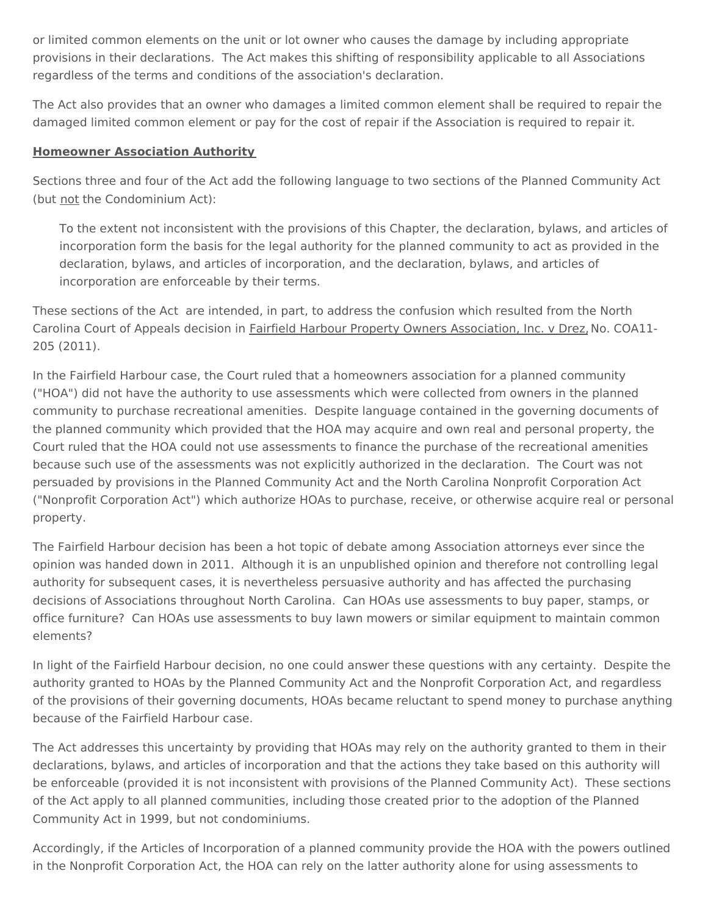or limited common elements on the unit or lot owner who causes the damage by including appropriate provisions in their declarations. The Act makes this shifting of responsibility applicable to all Associations regardless of the terms and conditions of the association's declaration.

The Act also provides that an owner who damages a limited common element shall be required to repair the damaged limited common element or pay for the cost of repair if the Association is required to repair it.

## **Homeowner Association Authority**

Sections three and four of the Act add the following language to two sections of the Planned Community Act (but not the Condominium Act):

To the extent not inconsistent with the provisions of this Chapter, the declaration, bylaws, and articles of incorporation form the basis for the legal authority for the planned community to act as provided in the declaration, bylaws, and articles of incorporation, and the declaration, bylaws, and articles of incorporation are enforceable by their terms.

These sections of the Act are intended, in part, to address the confusion which resulted from the North Carolina Court of Appeals decision in Fairfield Harbour Property Owners Association, Inc. v Drez, No. COA11- 205 (2011).

In the Fairfield Harbour case, the Court ruled that a homeowners association for a planned community ("HOA") did not have the authority to use assessments which were collected from owners in the planned community to purchase recreational amenities. Despite language contained in the governing documents of the planned community which provided that the HOA may acquire and own real and personal property, the Court ruled that the HOA could not use assessments to finance the purchase of the recreational amenities because such use of the assessments was not explicitly authorized in the declaration. The Court was not persuaded by provisions in the Planned Community Act and the North Carolina Nonprofit Corporation Act ("Nonprofit Corporation Act") which authorize HOAs to purchase, receive, or otherwise acquire real or personal property.

The Fairfield Harbour decision has been a hot topic of debate among Association attorneys ever since the opinion was handed down in 2011. Although it is an unpublished opinion and therefore not controlling legal authority for subsequent cases, it is nevertheless persuasive authority and has affected the purchasing decisions of Associations throughout North Carolina. Can HOAs use assessments to buy paper, stamps, or office furniture? Can HOAs use assessments to buy lawn mowers or similar equipment to maintain common elements?

In light of the Fairfield Harbour decision, no one could answer these questions with any certainty. Despite the authority granted to HOAs by the Planned Community Act and the Nonprofit Corporation Act, and regardless of the provisions of their governing documents, HOAs became reluctant to spend money to purchase anything because of the Fairfield Harbour case.

The Act addresses this uncertainty by providing that HOAs may rely on the authority granted to them in their declarations, bylaws, and articles of incorporation and that the actions they take based on this authority will be enforceable (provided it is not inconsistent with provisions of the Planned Community Act). These sections of the Act apply to all planned communities, including those created prior to the adoption of the Planned Community Act in 1999, but not condominiums.

Accordingly, if the Articles of Incorporation of a planned community provide the HOA with the powers outlined in the Nonprofit Corporation Act, the HOA can rely on the latter authority alone for using assessments to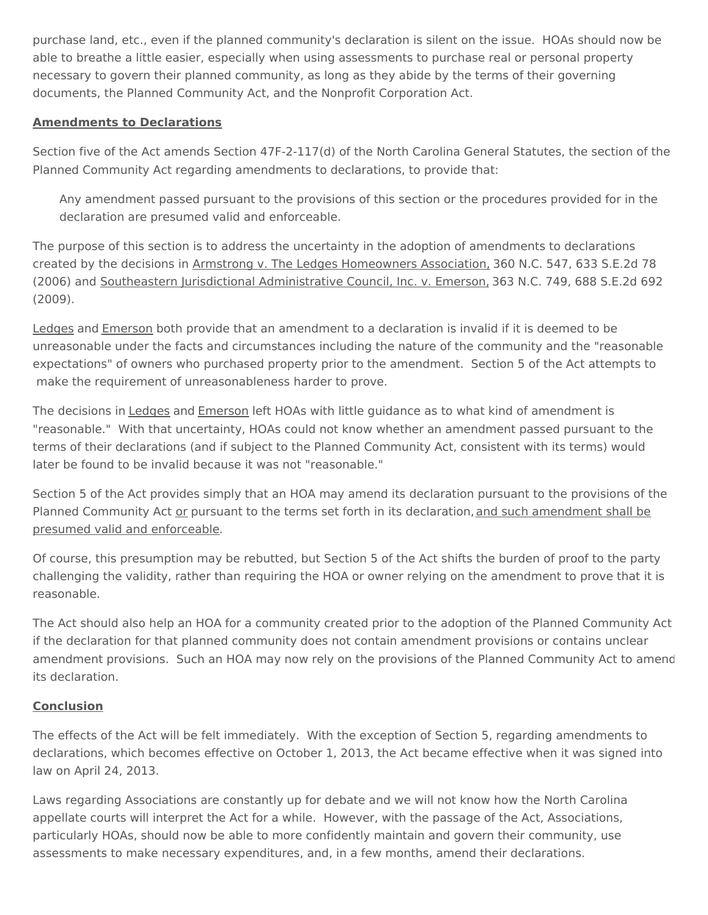purchase land, etc., even if the planned community's declaration is silent on the issue. HOAs should now be able to breathe a little easier, especially when using assessments to purchase real or personal property necessary to govern their planned community, as long as they abide by the terms of their governing documents, the Planned Community Act, and the Nonprofit Corporation Act.

# **Amendments to Declarations**

Section five of the Act amends Section 47F-2-117(d) of the North Carolina General Statutes, the section of the Planned Community Act regarding amendments to declarations, to provide that:

Any amendment passed pursuant to the provisions of this section or the procedures provided for in the declaration are presumed valid and enforceable.

The purpose of this section is to address the uncertainty in the adoption of amendments to declarations created by the decisions in Armstrong v. The Ledges Homeowners Association, 360 N.C. 547, 633 S.E.2d 78 (2006) and Southeastern Jurisdictional Administrative Council, Inc. v. Emerson, 363 N.C. 749, 688 S.E.2d 692 (2009).

Ledges and Emerson both provide that an amendment to a declaration is invalid if it is deemed to be unreasonable under the facts and circumstances including the nature of the community and the "reasonable expectations" of owners who purchased property prior to the amendment. Section 5 of the Act attempts to make the requirement of unreasonableness harder to prove.

The decisions in Ledges and Emerson left HOAs with little guidance as to what kind of amendment is "reasonable." With that uncertainty, HOAs could not know whether an amendment passed pursuant to the terms of their declarations (and if subject to the Planned Community Act, consistent with its terms) would later be found to be invalid because it was not "reasonable."

Section 5 of the Act provides simply that an HOA may amend its declaration pursuant to the provisions of the Planned Community Act or pursuant to the terms set forth in its declaration, and such amendment shall be presumed valid and enforceable.

Of course, this presumption may be rebutted, but Section 5 of the Act shifts the burden of proof to the party challenging the validity, rather than requiring the HOA or owner relying on the amendment to prove that it is reasonable.

The Act should also help an HOA for a community created prior to the adoption of the Planned Community Act if the declaration for that planned community does not contain amendment provisions or contains unclear amendment provisions. Such an HOA may now rely on the provisions of the Planned Community Act to amend its declaration.

### **Conclusion**

The effects of the Act will be felt immediately. With the exception of Section 5, regarding amendments to declarations, which becomes effective on October 1, 2013, the Act became effective when it was signed into law on April 24, 2013.

Laws regarding Associations are constantly up for debate and we will not know how the North Carolina appellate courts will interpret the Act for a while. However, with the passage of the Act, Associations, particularly HOAs, should now be able to more confidently maintain and govern their community, use assessments to make necessary expenditures, and, in a few months, amend their declarations.